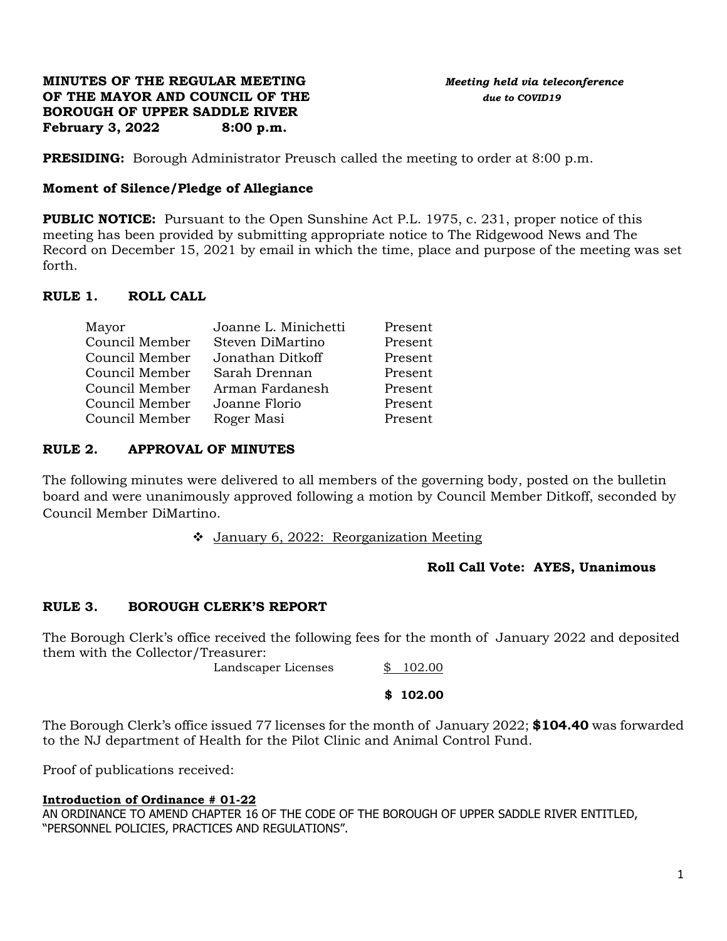### **MINUTES OF THE REGULAR MEETING** *Meeting held via teleconference* **OF THE MAYOR AND COUNCIL OF THE** *due to COVID19* **BOROUGH OF UPPER SADDLE RIVER February 3, 2022 8:00 p.m.**

**PRESIDING:** Borough Administrator Preusch called the meeting to order at 8:00 p.m.

# **Moment of Silence/Pledge of Allegiance**

**PUBLIC NOTICE:** Pursuant to the Open Sunshine Act P.L. 1975, c. 231, proper notice of this meeting has been provided by submitting appropriate notice to The Ridgewood News and The Record on December 15, 2021 by email in which the time, place and purpose of the meeting was set forth.

# **RULE 1. ROLL CALL**

| Joanne L. Minichetti | Present |
|----------------------|---------|
| Steven DiMartino     | Present |
| Jonathan Ditkoff     | Present |
| Sarah Drennan        | Present |
| Arman Fardanesh      | Present |
| Joanne Florio        | Present |
| Roger Masi           | Present |
|                      |         |

# **RULE 2. APPROVAL OF MINUTES**

The following minutes were delivered to all members of the governing body, posted on the bulletin board and were unanimously approved following a motion by Council Member Ditkoff, seconded by Council Member DiMartino.

❖ January 6, 2022: Reorganization Meeting

# **Roll Call Vote: AYES, Unanimous**

# **RULE 3. BOROUGH CLERK'S REPORT**

The Borough Clerk's office received the following fees for the month of January 2022 and deposited them with the Collector/Treasurer:

Landscaper Licenses  $$ 102.00$ 

#### **\$ 102.00**

The Borough Clerk's office issued 77 licenses for the month of January 2022; **\$104.40** was forwarded to the NJ department of Health for the Pilot Clinic and Animal Control Fund.

Proof of publications received:

# **Introduction of Ordinance # 01-22**

AN ORDINANCE TO AMEND CHAPTER 16 OF THE CODE OF THE BOROUGH OF UPPER SADDLE RIVER ENTITLED, "PERSONNEL POLICIES, PRACTICES AND REGULATIONS".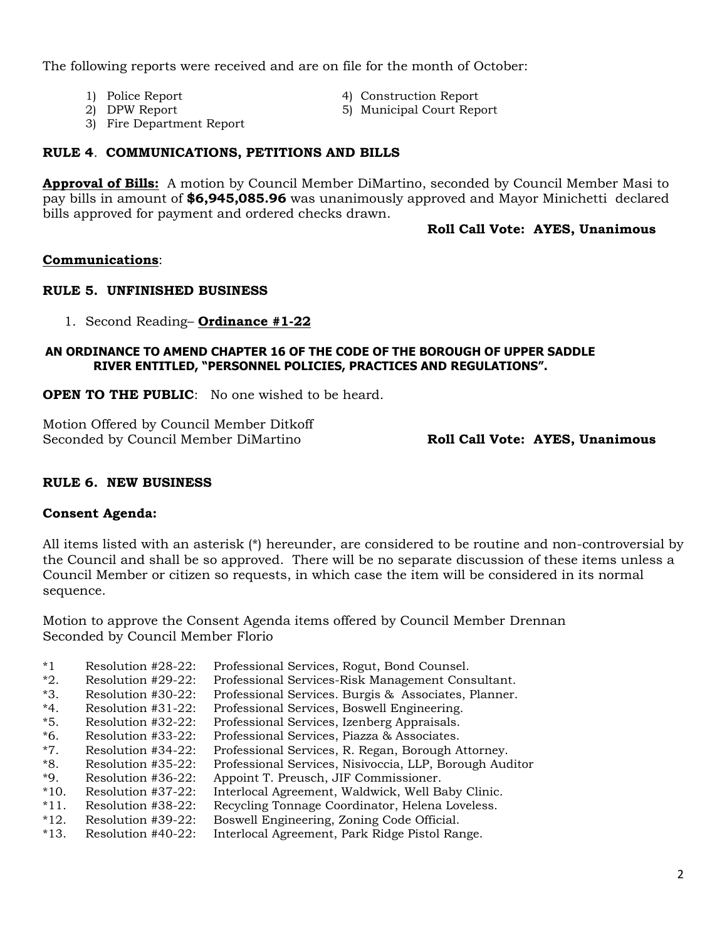The following reports were received and are on file for the month of October:

- 
- 1) Police Report 4) Construction Report
- 2) DPW Report 5) Municipal Court Report
- 3) Fire Department Report

# **RULE 4**. **COMMUNICATIONS, PETITIONS AND BILLS**

**Approval of Bills:** A motion by Council Member DiMartino, seconded by Council Member Masi to pay bills in amount of **\$6,945,085.96** was unanimously approved and Mayor Minichetti declared bills approved for payment and ordered checks drawn.

### **Roll Call Vote: AYES, Unanimous**

### **Communications**:

### **RULE 5. UNFINISHED BUSINESS**

1. Second Reading– **Ordinance #1-22**

### **AN ORDINANCE TO AMEND CHAPTER 16 OF THE CODE OF THE BOROUGH OF UPPER SADDLE RIVER ENTITLED, "PERSONNEL POLICIES, PRACTICES AND REGULATIONS".**

**OPEN TO THE PUBLIC:** No one wished to be heard.

Motion Offered by Council Member Ditkoff Seconded by Council Member DiMartino **Roll Call Vote: AYES, Unanimous**

# **RULE 6. NEW BUSINESS**

#### **Consent Agenda:**

All items listed with an asterisk (\*) hereunder, are considered to be routine and non-controversial by the Council and shall be so approved. There will be no separate discussion of these items unless a Council Member or citizen so requests, in which case the item will be considered in its normal sequence.

Motion to approve the Consent Agenda items offered by Council Member Drennan Seconded by Council Member Florio

- \*1 Resolution #28-22: Professional Services, Rogut, Bond Counsel.
- \*2. Resolution #29-22: Professional Services-Risk Management Consultant.
- \*3. Resolution #30-22: Professional Services. Burgis & Associates, Planner.
- \*4. Resolution #31-22: Professional Services, Boswell Engineering.
- \*5. Resolution #32-22: Professional Services, Izenberg Appraisals.
- \*6. Resolution #33-22: Professional Services, Piazza & Associates.
- \*7. Resolution #34-22: Professional Services, R. Regan, Borough Attorney.
- \*8. Resolution #35-22: Professional Services, Nisivoccia, LLP, Borough Auditor
- \*9. Resolution #36-22: Appoint T. Preusch, JIF Commissioner.
- \*10. Resolution #37-22: Interlocal Agreement, Waldwick, Well Baby Clinic.
- \*11. Resolution #38-22: Recycling Tonnage Coordinator, Helena Loveless.
- \*12. Resolution #39-22: Boswell Engineering, Zoning Code Official.
- \*13. Resolution #40-22: Interlocal Agreement, Park Ridge Pistol Range.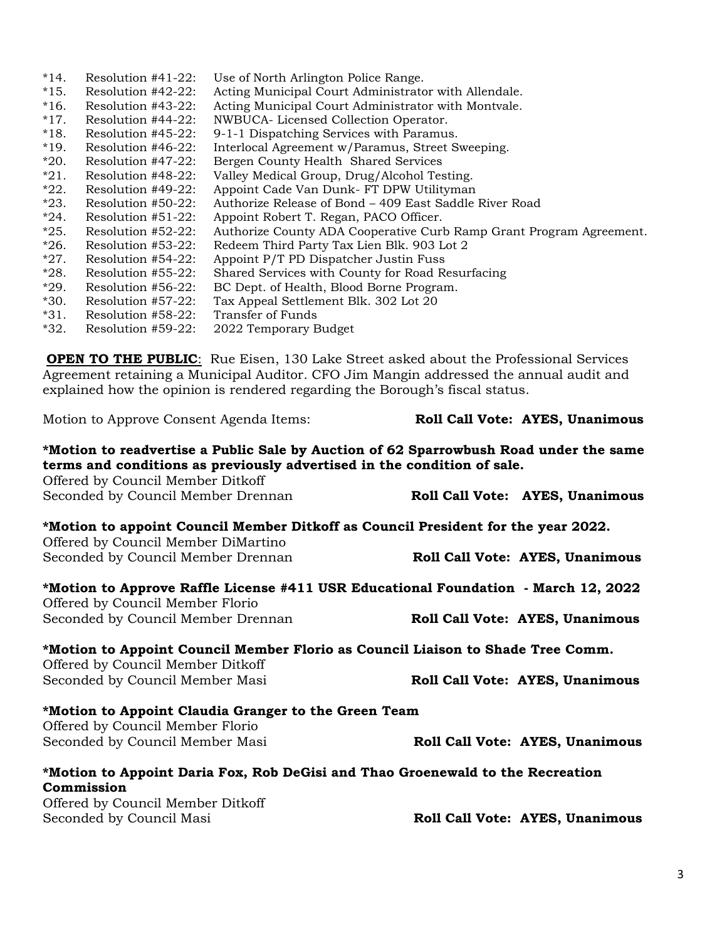| $*18.$<br>$*19.$<br>$*20.$<br>$*21.$<br>$*22.$<br>$*23.$<br>$*24.$<br>$*25.$<br>$*26.$<br>$*27.$<br>$*28.$<br>$*29.$<br>$*30.$<br>$*31.$<br>$*32.$                                                                                                                             | Resolution #45-22:<br>Resolution #46-22:<br>Resolution #47-22:<br>Resolution #48-22:<br>Resolution #49-22:<br>Resolution #50-22:<br>Resolution #51-22:<br>Resolution #52-22:<br>Resolution #53-22:<br>Resolution #54-22:<br>Resolution #55-22:<br>Resolution #56-22:<br>Resolution #57-22:<br>Resolution #58-22:<br>Resolution #59-22: | 9-1-1 Dispatching Services with Paramus.<br>Bergen County Health Shared Services<br>Valley Medical Group, Drug/Alcohol Testing.<br>Appoint Robert T. Regan, PACO Officer.<br>Redeem Third Party Tax Lien Blk. 903 Lot 2<br>Appoint P/T PD Dispatcher Justin Fuss<br>BC Dept. of Health, Blood Borne Program.<br>Tax Appeal Settlement Blk. 302 Lot 20<br><b>Transfer of Funds</b><br>2022 Temporary Budget | Interlocal Agreement w/Paramus, Street Sweeping.<br>Appoint Cade Van Dunk- FT DPW Utilityman<br>Authorize Release of Bond - 409 East Saddle River Road<br>Authorize County ADA Cooperative Curb Ramp Grant Program Agreement.<br>Shared Services with County for Road Resurfacing |                                 |
|--------------------------------------------------------------------------------------------------------------------------------------------------------------------------------------------------------------------------------------------------------------------------------|----------------------------------------------------------------------------------------------------------------------------------------------------------------------------------------------------------------------------------------------------------------------------------------------------------------------------------------|------------------------------------------------------------------------------------------------------------------------------------------------------------------------------------------------------------------------------------------------------------------------------------------------------------------------------------------------------------------------------------------------------------|-----------------------------------------------------------------------------------------------------------------------------------------------------------------------------------------------------------------------------------------------------------------------------------|---------------------------------|
|                                                                                                                                                                                                                                                                                |                                                                                                                                                                                                                                                                                                                                        |                                                                                                                                                                                                                                                                                                                                                                                                            | <b>OPEN TO THE PUBLIC:</b> Rue Eisen, 130 Lake Street asked about the Professional Services                                                                                                                                                                                       |                                 |
|                                                                                                                                                                                                                                                                                |                                                                                                                                                                                                                                                                                                                                        |                                                                                                                                                                                                                                                                                                                                                                                                            | Agreement retaining a Municipal Auditor. CFO Jim Mangin addressed the annual audit and<br>explained how the opinion is rendered regarding the Borough's fiscal status.                                                                                                            |                                 |
|                                                                                                                                                                                                                                                                                | Motion to Approve Consent Agenda Items:                                                                                                                                                                                                                                                                                                |                                                                                                                                                                                                                                                                                                                                                                                                            |                                                                                                                                                                                                                                                                                   | Roll Call Vote: AYES, Unanimous |
| *Motion to readvertise a Public Sale by Auction of 62 Sparrowbush Road under the same<br>terms and conditions as previously advertised in the condition of sale.<br>Offered by Council Member Ditkoff<br>Seconded by Council Member Drennan<br>Roll Call Vote: AYES, Unanimous |                                                                                                                                                                                                                                                                                                                                        |                                                                                                                                                                                                                                                                                                                                                                                                            |                                                                                                                                                                                                                                                                                   |                                 |
|                                                                                                                                                                                                                                                                                |                                                                                                                                                                                                                                                                                                                                        |                                                                                                                                                                                                                                                                                                                                                                                                            | *Motion to appoint Council Member Ditkoff as Council President for the year 2022.                                                                                                                                                                                                 |                                 |
|                                                                                                                                                                                                                                                                                | Offered by Council Member DiMartino<br>Seconded by Council Member Drennan                                                                                                                                                                                                                                                              |                                                                                                                                                                                                                                                                                                                                                                                                            |                                                                                                                                                                                                                                                                                   | Roll Call Vote: AYES, Unanimous |
| *Motion to Approve Raffle License #411 USR Educational Foundation - March 12, 2022<br>Offered by Council Member Florio                                                                                                                                                         |                                                                                                                                                                                                                                                                                                                                        |                                                                                                                                                                                                                                                                                                                                                                                                            |                                                                                                                                                                                                                                                                                   |                                 |
|                                                                                                                                                                                                                                                                                | Seconded by Council Member Drennan                                                                                                                                                                                                                                                                                                     |                                                                                                                                                                                                                                                                                                                                                                                                            |                                                                                                                                                                                                                                                                                   | Roll Call Vote: AYES, Unanimous |
|                                                                                                                                                                                                                                                                                | Offered by Council Member Ditkoff                                                                                                                                                                                                                                                                                                      |                                                                                                                                                                                                                                                                                                                                                                                                            | *Motion to Appoint Council Member Florio as Council Liaison to Shade Tree Comm.                                                                                                                                                                                                   |                                 |
|                                                                                                                                                                                                                                                                                | Seconded by Council Member Masi                                                                                                                                                                                                                                                                                                        |                                                                                                                                                                                                                                                                                                                                                                                                            |                                                                                                                                                                                                                                                                                   | Roll Call Vote: AYES, Unanimous |
|                                                                                                                                                                                                                                                                                | Offered by Council Member Florio<br>Seconded by Council Member Masi                                                                                                                                                                                                                                                                    | *Motion to Appoint Claudia Granger to the Green Team                                                                                                                                                                                                                                                                                                                                                       |                                                                                                                                                                                                                                                                                   | Roll Call Vote: AYES, Unanimous |
|                                                                                                                                                                                                                                                                                |                                                                                                                                                                                                                                                                                                                                        |                                                                                                                                                                                                                                                                                                                                                                                                            |                                                                                                                                                                                                                                                                                   |                                 |
|                                                                                                                                                                                                                                                                                | Commission                                                                                                                                                                                                                                                                                                                             |                                                                                                                                                                                                                                                                                                                                                                                                            | *Motion to Appoint Daria Fox, Rob DeGisi and Thao Groenewald to the Recreation                                                                                                                                                                                                    |                                 |
|                                                                                                                                                                                                                                                                                | Offered by Council Member Ditkoff<br>Seconded by Council Masi                                                                                                                                                                                                                                                                          |                                                                                                                                                                                                                                                                                                                                                                                                            |                                                                                                                                                                                                                                                                                   | Roll Call Vote: AYES, Unanimous |

\*14. Resolution #41-22: Use of North Arlington Police Range.

\*17. Resolution #44-22: NWBUCA- Licensed Collection Operator.

\*15. Resolution #42-22: Acting Municipal Court Administrator with Allendale. \*16. Resolution #43-22: Acting Municipal Court Administrator with Montvale.